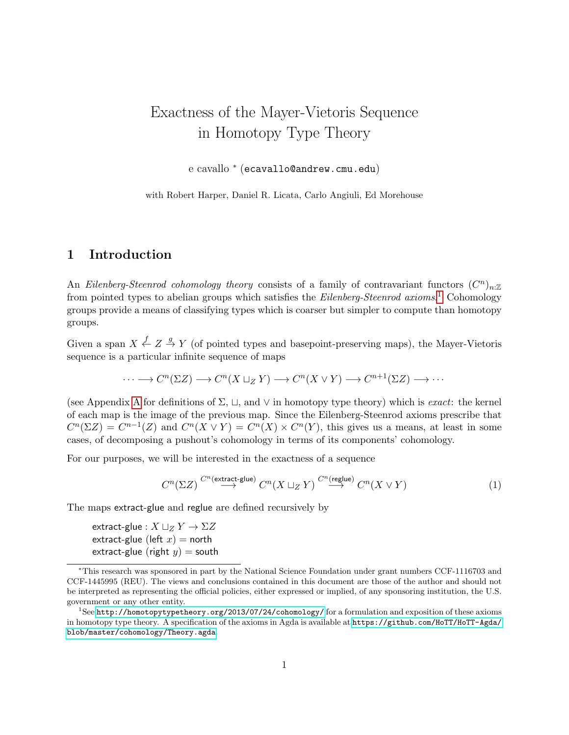# Exactness of the Mayer-Vietoris Sequence in Homotopy Type Theory

e cavallo <sup>∗</sup> (ecavallo@andrew.cmu.edu)

with Robert Harper, Daniel R. Licata, Carlo Angiuli, Ed Morehouse

### 1 Introduction

An Eilenberg-Steenrod cohomology theory consists of a family of contravariant functors  $(C^n)_{n:\mathbb{Z}}$ from pointed types to abelian groups which satisfies the *Eilenberg-Steenrod axioms*.<sup>[1](#page-0-0)</sup> Cohomology groups provide a means of classifying types which is coarser but simpler to compute than homotopy groups.

Given a span  $X \stackrel{f}{\leftarrow} Z \stackrel{g}{\rightarrow} Y$  (of pointed types and basepoint-preserving maps), the Mayer-Vietoris sequence is a particular infinite sequence of maps

$$
\cdots \longrightarrow C^{n}(\Sigma Z) \longrightarrow C^{n}(X \sqcup_{Z} Y) \longrightarrow C^{n}(X \vee Y) \longrightarrow C^{n+1}(\Sigma Z) \longrightarrow \cdots
$$

(see [A](#page-10-0)ppendix A for definitions of  $\Sigma$ ,  $\Box$ , and  $\lor$  in homotopy type theory) which is *exact*: the kernel of each map is the image of the previous map. Since the Eilenberg-Steenrod axioms prescribe that  $C^n(\Sigma Z) = C^{n-1}(Z)$  and  $C^n(X \vee Y) = C^n(X) \times C^n(Y)$ , this gives us a means, at least in some cases, of decomposing a pushout's cohomology in terms of its components' cohomology.

For our purposes, we will be interested in the exactness of a sequence

<span id="page-0-1"></span>
$$
C^n(\Sigma Z) \stackrel{C^n(\text{extract-glue})}{\longrightarrow} C^n(X \sqcup_Z Y) \stackrel{C^n(\text{reglue})}{\longrightarrow} C^n(X \vee Y) \tag{1}
$$

The maps extract-glue and reglue are defined recursively by

extract-glue :  $X \sqcup_Z Y \to \Sigma Z$ extract-glue (left  $x$ ) = north extract-glue (right  $y$ ) = south

<sup>∗</sup>This research was sponsored in part by the National Science Foundation under grant numbers CCF-1116703 and CCF-1445995 (REU). The views and conclusions contained in this document are those of the author and should not be interpreted as representing the official policies, either expressed or implied, of any sponsoring institution, the U.S. government or any other entity.

<span id="page-0-0"></span><sup>&</sup>lt;sup>1</sup>See <http://homotopytypetheory.org/2013/07/24/cohomology/> for a formulation and exposition of these axioms in homotopy type theory. A specification of the axioms in Agda is available at [https://github.com/HoTT/HoTT-Agda/](https://github.com/HoTT/HoTT-Agda/blob/master/cohomology/Theory.agda) [blob/master/cohomology/Theory.agda](https://github.com/HoTT/HoTT-Agda/blob/master/cohomology/Theory.agda).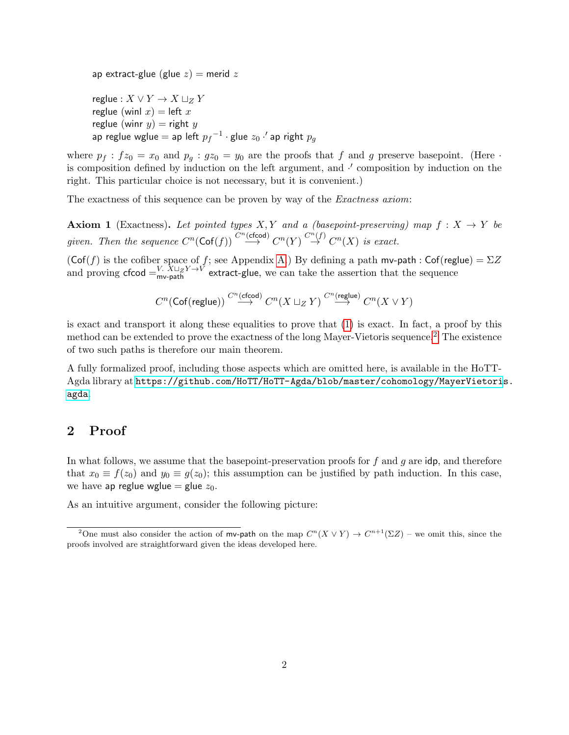ap extract-glue (glue  $z$ ) = merid  $z$ reglue :  $X \vee Y \rightarrow X \sqcup_Z Y$ reglue (winl  $x$ ) = left x reglue (winr  $y$ ) = right y ap reglue wglue  $=$  ap left  ${p_f}^{-1}\cdot$ glue  $z_0$   $\cdot'$  ap right  $p_g$ 

where  $p_f : fz_0 = x_0$  and  $p_g : gz_0 = y_0$  are the proofs that f and g preserve basepoint. (Here  $\cdot$ is composition defined by induction on the left argument, and  $\cdot'$  composition by induction on the right. This particular choice is not necessary, but it is convenient.)

The exactness of this sequence can be proven by way of the *Exactness axiom*:

**Axiom 1** (Exactness). Let pointed types X, Y and a (basepoint-preserving) map  $f: X \rightarrow Y$  be given. Then the sequence  $C^n(\mathsf{Cof}(f)) \stackrel{C^n(\mathsf{cfcod})}{\longrightarrow} C^n(Y) \stackrel{C^n(f)}{\to} C^n(X)$  is exact.

 $(\mathsf{Cof}(f))$  is the cofiber space of f; see Appendix [A.](#page-10-0)) By defining a path mv-path : Cof(reglue) =  $\Sigma Z$ and proving cfcod  $=$ <sup>V.  $X \sqcup_Z Y \rightarrow V$ </sup> extract-glue, we can take the assertion that the sequence

$$
C^n(\mathsf{Cof}(\mathsf{reglue})) \stackrel{C^n(\mathsf{cfcod})}{\longrightarrow} C^n(X \sqcup_Z Y) \stackrel{C^n(\mathsf{reglue})}{\longrightarrow} C^n(X \vee Y)
$$

is exact and transport it along these equalities to prove that [\(1\)](#page-0-1) is exact. In fact, a proof by this method can be extended to prove the exactness of the long Mayer-Vietoris sequence.[2](#page-1-0) The existence of two such paths is therefore our main theorem.

A fully formalized proof, including those aspects which are omitted here, is available in the HoTT-Agda library at [https://github.com/HoTT/HoTT-Agda/blob/master/cohomology/MayerVietori](https://github.com/HoTT/HoTT-Agda/blob/master/cohomology/MayerVietoris.agda)s. [agda](https://github.com/HoTT/HoTT-Agda/blob/master/cohomology/MayerVietoris.agda).

# 2 Proof

In what follows, we assume that the basepoint-preservation proofs for  $f$  and  $g$  are idp, and therefore that  $x_0 \equiv f(z_0)$  and  $y_0 \equiv g(z_0)$ ; this assumption can be justified by path induction. In this case, we have ap reglue wglue = glue  $z_0$ .

As an intuitive argument, consider the following picture:

<span id="page-1-0"></span><sup>&</sup>lt;sup>2</sup>One must also consider the action of mv-path on the map  $C^n(X \vee Y) \to C^{n+1}(\Sigma Z)$  – we omit this, since the proofs involved are straightforward given the ideas developed here.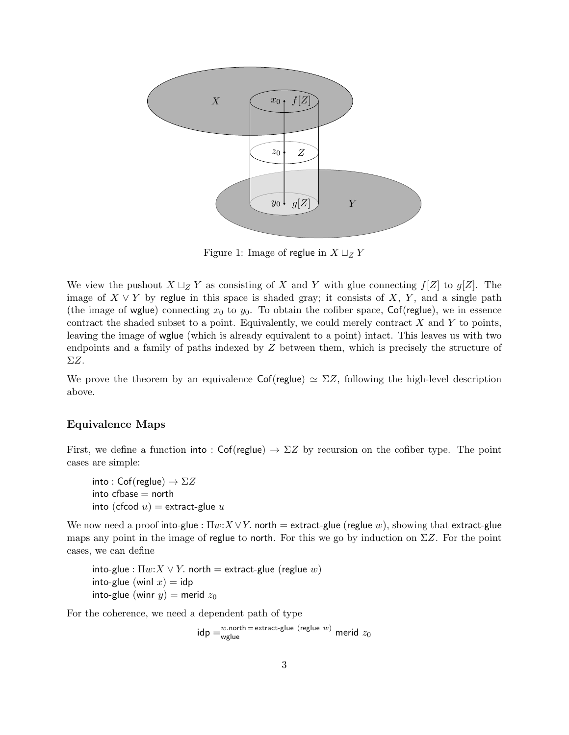

Figure 1: Image of reglue in  $X \sqcup_Z Y$ 

We view the pushout  $X \sqcup_Z Y$  as consisting of X and Y with glue connecting  $f[Z]$  to  $g[Z]$ . The image of  $X \vee Y$  by reglue in this space is shaded gray; it consists of X, Y, and a single path (the image of wglue) connecting  $x_0$  to  $y_0$ . To obtain the cofiber space, Cof(reglue), we in essence contract the shaded subset to a point. Equivalently, we could merely contract  $X$  and  $Y$  to points, leaving the image of wglue (which is already equivalent to a point) intact. This leaves us with two endpoints and a family of paths indexed by Z between them, which is precisely the structure of ΣZ.

We prove the theorem by an equivalence  $\textsf{Cof}(\text{reglue}) \simeq \Sigma Z$ , following the high-level description above.

#### Equivalence Maps

First, we define a function into : Cof(reglue)  $\rightarrow \Sigma Z$  by recursion on the cofiber type. The point cases are simple:

into : Cof(reglue)  $\rightarrow \Sigma Z$  $into cfbase = north$ into (cfcod  $u$ ) = extract-glue  $u$ 

We now need a proof into-glue :  $\Pi w:X\vee Y$ . north = extract-glue (reglue w), showing that extract-glue maps any point in the image of reglue to north. For this we go by induction on  $\Sigma Z$ . For the point cases, we can define

into-glue :  $\Pi w:X \vee Y$ . north = extract-glue (reglue w) into-glue (winl  $x$ ) = idp into-glue (winr  $y$ ) = merid  $z_0$ 

For the coherence, we need a dependent path of type

 $\mathsf{idp} = \substack{w.\mathsf{north} = \mathsf{extract}\text{-}\mathsf{glue} \; (\mathsf{reglue}\;w) }$  merid  $z_0$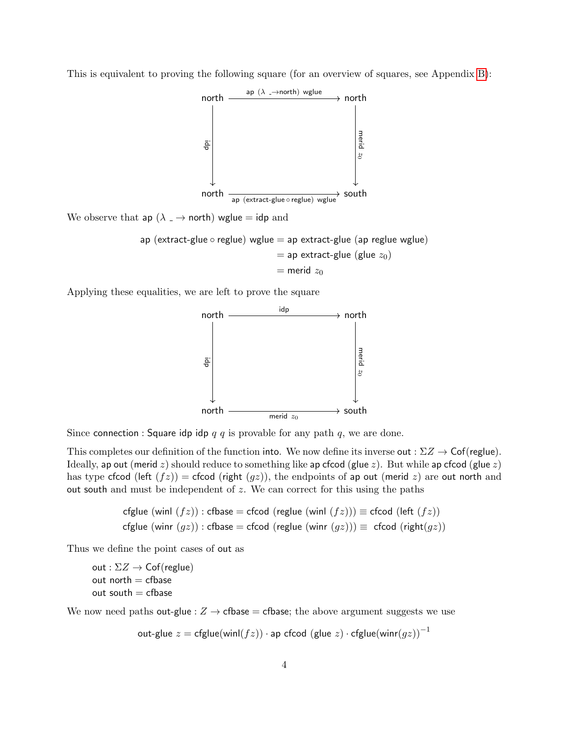

This is equivalent to proving the following square (for an overview of squares, see Appendix [B\)](#page-11-0):

We observe that ap  $(\lambda \rightarrow \text{north})$  wglue = idp and

ap (extract-glue o reglue) wglue = ap extract-glue (ap reglue wglue)  
= ap extract-glue (glue 
$$
z_0
$$
)  
= merid  $z_0$ 

Applying these equalities, we are left to prove the square



Since connection : Square idp idp  $q \, q$  is provable for any path  $q$ , we are done.

This completes our definition of the function into. We now define its inverse out :  $\Sigma Z \rightarrow \mathsf{Cof}(\mathsf{reglue})$ . Ideally, ap out (merid z) should reduce to something like ap cfcod (glue z). But while ap cfcod (glue z) has type cfcod (left  $(fz)$ ) = cfcod (right  $(gz)$ ), the endpoints of ap out (merid z) are out north and out south and must be independent of  $z$ . We can correct for this using the paths

\n
$$
\text{cfglue (winl } (fz)) : \text{cfbase} = \text{cfcod } (\text{reglue } (\text{winl } (fz))) \equiv \text{cfcod } (\text{left } (fz))
$$
\n

\n\n $\text{cfglue } (\text{winr } (gz)) : \text{cfbase} = \text{cfcod } (\text{reglue } (\text{winr } (gz))) \equiv \text{cfcod } (\text{right}(gz))$ \n

Thus we define the point cases of out as

```
out : \Sigma Z \rightarrow Cof(reglue)
out north = cfbase
out south = cfbase
```
We now need paths out-glue :  $Z \rightarrow$  cfbase = cfbase; the above argument suggests we use

out-glue  $z = \text{cfglue}(\text{wind}(fz)) \cdot \text{ap cfcod (glue } z) \cdot \text{cfglue}(\text{winr}(gz))^{-1}$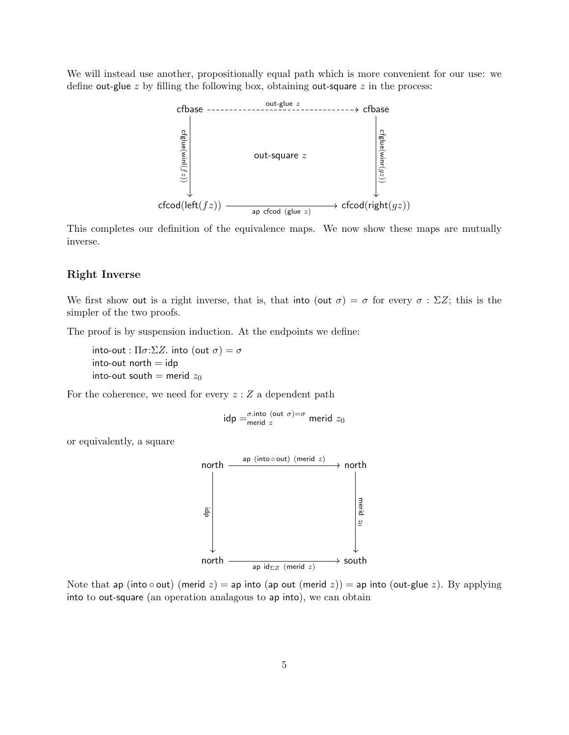We will instead use another, propositionally equal path which is more convenient for our use: we define out-glue  $z$  by filling the following box, obtaining out-square  $z$  in the process:



This completes our definition of the equivalence maps. We now show these maps are mutually inverse.

#### Right Inverse

We first show out is a right inverse, that is, that into (out  $\sigma$ ) =  $\sigma$  for every  $\sigma : \Sigma Z$ ; this is the simpler of the two proofs.

The proof is by suspension induction. At the endpoints we define:

into-out :  $\Pi \sigma$ : $\Sigma Z$ . into (out  $\sigma$ ) =  $\sigma$  $into$ -out north  $=$   $idp$ into-out south = merid  $z_0$ 

For the coherence, we need for every  $z:Z$  a dependent path

idp = 
$$
\frac{\sigma \text{.into}}{\text{merid } z}
$$

or equivalently, a square



Note that ap (into  $\circ$  out) (merid  $z$ ) = ap into (ap out (merid  $z$ )) = ap into (out-glue  $z$ ). By applying into to out-square (an operation analagous to ap into), we can obtain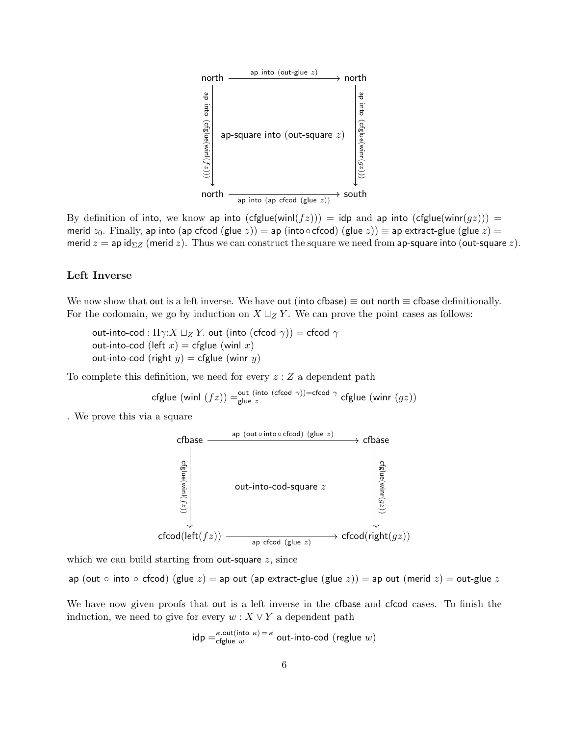

By definition of into, we know ap into  $(cfdue(winl(fz))) = idp$  and ap into  $(cfdue(winr(gz))) =$ merid  $z_0$ . Finally, ap into (ap cfcod (glue z)) = ap (into⊙cfcod) (glue z))  $\equiv$  ap extract-glue (glue z) = merid  $z =$  ap id<sub> $\Sigma Z$ </sub> (merid z). Thus we can construct the square we need from ap-square into (out-square z).

#### Left Inverse

We now show that out is a left inverse. We have out (into cfbase)  $\equiv$  out north  $\equiv$  cfbase definitionally. For the codomain, we go by induction on  $X \sqcup_Z Y$ . We can prove the point cases as follows:

out-into-cod :  $\Pi \gamma: X \sqcup_Z Y$ . out (into (cfcod  $\gamma$ )) = cfcod  $\gamma$ out-into-cod (left  $x$ ) = cfglue (winl  $x$ ) out-into-cod (right  $y$ ) = cfglue (winr  $y$ )

To complete this definition, we need for every  $z:Z$  a dependent path

$$
\mathsf{cfglue}\;(\mathsf{winl}\;(fz)) = \mathsf{glue}\;z^{\mathsf{(into}\;(\mathsf{cfcod}\;\gamma)) = \mathsf{cfcod}\;\gamma}\;\mathsf{cfglue}\;(\mathsf{winr}\;(gz))
$$

. We prove this via a square



which we can build starting from out-square  $z$ , since

ap (out ∘ into ∘ cfcod) (glue z) = ap out (ap extract-glue (glue z)) = ap out (merid z) = out-glue z

We have now given proofs that out is a left inverse in the cfbase and cfcod cases. To finish the induction, we need to give for every  $w: X \vee Y$  a dependent path

$$
idp = \frac{\kappa \cdot out(int \sigma \kappa) = \kappa}{cfglue w}
$$
 out-into-cod (reglue w)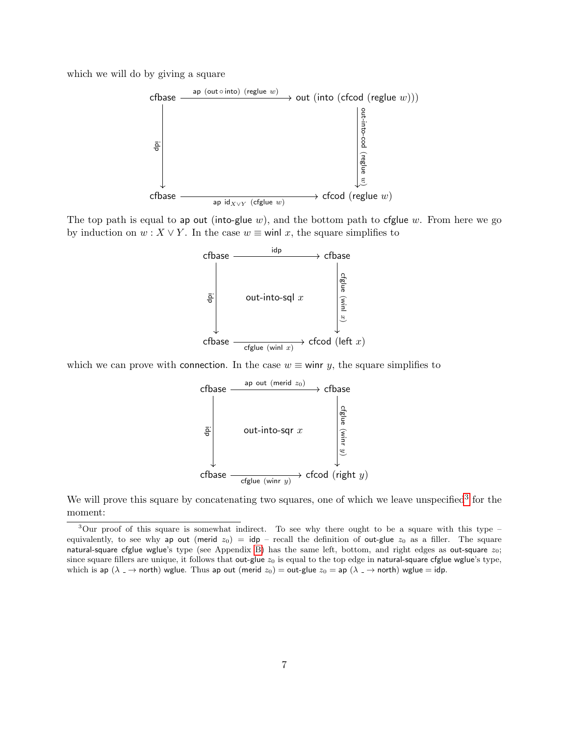which we will do by giving a square



The top path is equal to ap out (into-glue w), and the bottom path to cfglue w. From here we go by induction on  $w : X \vee Y$ . In the case  $w \equiv$  winl x, the square simplifies to



which we can prove with connection. In the case  $w \equiv$  winr y, the square simplifies to

 $\mathsf{cfbase} \overset{\mathsf{ap} \; \mathsf{out} \; (\mathsf{merid} \; z_0)}{\longrightarrow} \mathsf{cfbase}$ cfbase  $\longrightarrow$  cfcod (right y) 흉 $\vert$  out-into-sqr  $x$ cfglue (winr  $\widehat{x}$ 

We will prove this square by concatenating two squares, one of which we leave unspecified<sup>[3](#page-6-0)</sup> for the moment:

<span id="page-6-0"></span><sup>&</sup>lt;sup>3</sup>Our proof of this square is somewhat indirect. To see why there ought to be a square with this type – equivalently, to see why ap out (merid  $z_0$ ) = idp – recall the definition of out-glue  $z_0$  as a filler. The square natural-square cfglue wglue's type (see Appendix [B\)](#page-11-0) has the same left, bottom, and right edges as out-square  $z_0$ ; since square fillers are unique, it follows that out-glue  $z_0$  is equal to the top edge in natural-square cfglue wglue's type, which is ap ( $\lambda \to$  north) wglue. Thus ap out (merid  $z_0$ ) = out-glue  $z_0$  = ap ( $\lambda \to$  north) wglue = idp.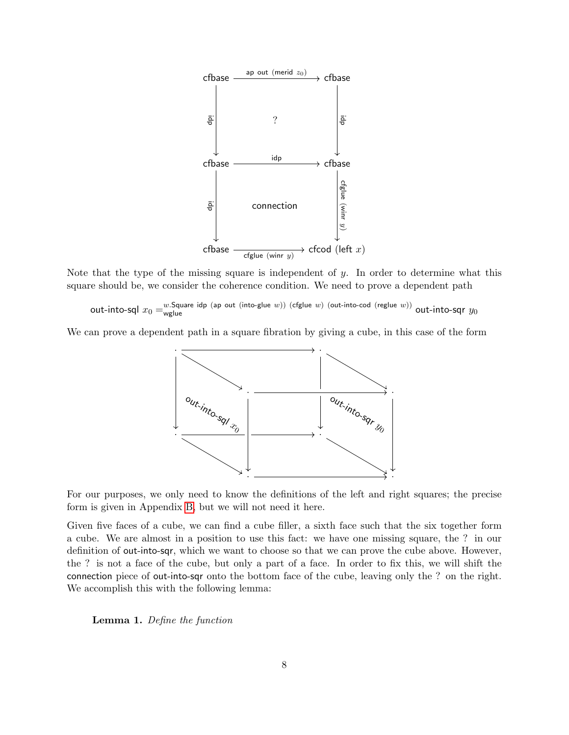

Note that the type of the missing square is independent of  $y$ . In order to determine what this square should be, we consider the coherence condition. We need to prove a dependent path

out-into-sql x<sup>0</sup> = w.Square idp (ap out (into-glue w)) (cfglue w) (out-into-cod (reglue w)) wglue out-into-sqr y<sup>0</sup>

We can prove a dependent path in a square fibration by giving a cube, in this case of the form



For our purposes, we only need to know the definitions of the left and right squares; the precise form is given in Appendix [B,](#page-11-0) but we will not need it here.

Given five faces of a cube, we can find a cube filler, a sixth face such that the six together form a cube. We are almost in a position to use this fact: we have one missing square, the ? in our definition of out-into-sqr, which we want to choose so that we can prove the cube above. However, the ? is not a face of the cube, but only a part of a face. In order to fix this, we will shift the connection piece of out-into-sqr onto the bottom face of the cube, leaving only the ? on the right. We accomplish this with the following lemma:

Lemma 1. Define the function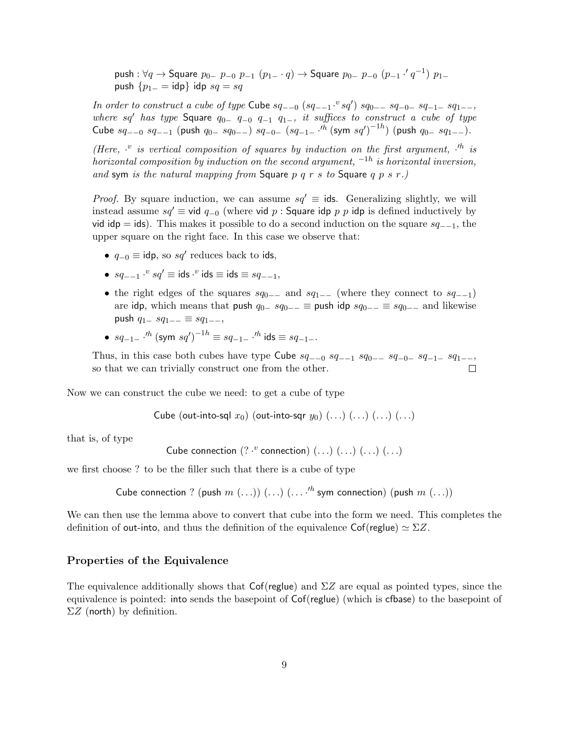push :  $\forall q \rightarrow$  Square  $p_{0-}$   $p_{-0}$   $p_{-1}$   $(p_{1-} \cdot q) \rightarrow$  Square  $p_{0-}$   $p_{-0}$   $(p_{-1} \cdot ' q^{-1})$   $p_{1-}$ push  ${p_{1-} = \text{idp}}$  idp  $sq = sq$ 

In order to construct a cube of type Cube  $sq_{-0}$   $(sq_{-1} \cdot$ <sup>v</sup> $sq'$ )  $sq_{0-}$   $sq_{-0}$   $sq_{-1}$   $sq_{1-}$ , where sq' has type Square  $q_{0-}$   $q_{-0}$   $q_{-1}$   $q_{1-}$ , it suffices to construct a cube of type Cube  $sq_{-0}$   $sq_{-1}$  (push  $q_{0-}$   $sq_{0-}$ )  $sq_{-0-}$   $(sq_{-1-}$   $\cdots$   $\cdots$   $(sym$   $sq')^{-1h}$ ) (push  $q_{0-}$   $sq_{1-}$ ).

(Here,  $\cdot$  is vertical composition of squares by induction on the first argument,  $\cdot$ <sup>th</sup> is horizontal composition by induction on the second argument,  $^{-1h}$  is horizontal inversion, and sym is the natural mapping from Square  $p$   $q$   $r$   $s$  to Square  $q$   $p$   $s$   $r$ .)

*Proof.* By square induction, we can assume  $sq' \equiv$  ids. Generalizing slightly, we will instead assume  $sq' \equiv \text{vid } q_{-0}$  (where vid p : Square idp p p idp is defined inductively by vid idp = ids). This makes it possible to do a second induction on the square  $sq_{-1}$ , the upper square on the right face. In this case we observe that:

- $q_{-0} \equiv \text{idp}$ , so  $sq'$  reduces back to ids,
- $sq_{-1}$  ·<sup>v</sup>  $sq' \equiv$  ids ·<sup>v</sup> ids  $\equiv$  ids  $\equiv sq_{-1}$ ,
- the right edges of the squares  $sq_{0-}$  and  $sq_{1-}$  (where they connect to  $sq_{-1}$ ) are idp, which means that push  $q_{0-}$  s $q_{0--} \equiv$  push idp  $sq_{0-} \equiv$  s $q_{0-}$  and likewise push  $q_{1-}$  s $q_{1-−} \equiv sq_{1-−}$ ,
- $sq_{-1}$   $\cdot$   $\cdot$   $\cdot$   $\left(\text{sym} \; sq'\right)^{-1h} \equiv sq_{-1-}$   $\cdot$   $\cdot$   $\cdot$   $\cdot$   $\text{ids} \equiv sq_{-1-}$ .

Thus, in this case both cubes have type Cube  $sq_{-0}$  sq<sub>--1</sub> sq<sub>0</sub>-- sq<sub>-0</sub>- sq<sub>-1</sub>- sq<sub>1--</sub>, so that we can trivially construct one from the other. П

Now we can construct the cube we need: to get a cube of type

Cube (out-into-sql  $x_0$ ) (out-into-sqr  $y_0$ )  $(\ldots)$   $(\ldots)$   $(\ldots)$   $(\ldots)$ 

that is, of type

```
Cube connection (?\cdot^v connection) (...) (...) (...) (...) (...)
```
we first choose ? to be the filler such that there is a cube of type

Cube connection ? (push  $m(\ldots)$ )  $(\ldots)$   $(\ldots)$ <sup>h</sup> sym connection) (push  $m(\ldots)$ )

We can then use the lemma above to convert that cube into the form we need. This completes the definition of out-into, and thus the definition of the equivalence Cof(reglue)  $\simeq \Sigma Z$ .

#### Properties of the Equivalence

The equivalence additionally shows that  $Cof$ (reglue) and  $\Sigma Z$  are equal as pointed types, since the equivalence is pointed: into sends the basepoint of Cof(reglue) (which is cfbase) to the basepoint of  $\Sigma Z$  (north) by definition.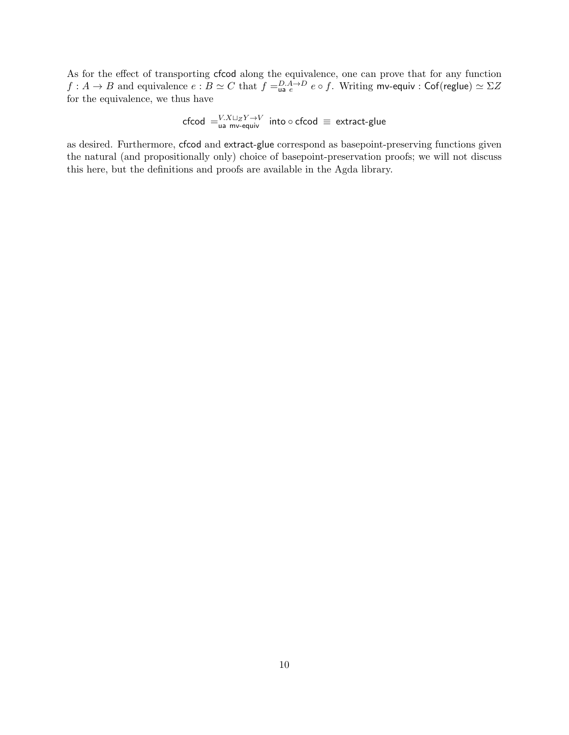As for the effect of transporting cfcod along the equivalence, one can prove that for any function  $f:A\to B$  and equivalence  $e:B\simeq C$  that  $f=_{\sf u a}^{D.A\to D}e\circ f.$  Writing mv-equiv :  $\sf{Cof}$ (reglue)  $\simeq \Sigma Z$ for the equivalence, we thus have

cfcod  $=$   $_{\mathsf{u} \mathsf{a}}^{V. X {\sqcup}_Z Y {\rightarrow} V}$  into  $\circ$  cfcod  $\equiv$  extract-glue

as desired. Furthermore, cfcod and extract-glue correspond as basepoint-preserving functions given the natural (and propositionally only) choice of basepoint-preservation proofs; we will not discuss this here, but the definitions and proofs are available in the Agda library.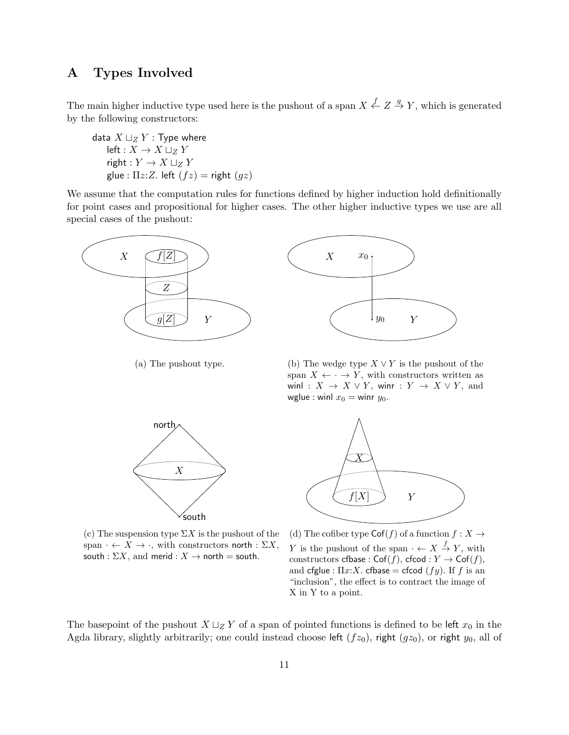# <span id="page-10-0"></span>A Types Involved

The main higher inductive type used here is the pushout of a span  $X \stackrel{f}{\leftarrow} Z \stackrel{g}{\rightarrow} Y$ , which is generated by the following constructors:

data  $X \sqcup_Z Y$  : Type where left :  $X \to X \sqcup_Z Y$ right :  $Y \to X \sqcup_Z Y$ glue :  $\Pi z$ : Z. left  $(fz)$  = right  $(gz)$ 

We assume that the computation rules for functions defined by higher induction hold definitionally for point cases and propositional for higher cases. The other higher inductive types we use are all special cases of the pushout:





(a) The pushout type.

(b) The wedge type  $X \vee Y$  is the pushout of the span  $X \leftarrow \cdot \rightarrow Y$ , with constructors written as winl :  $X \rightarrow X \vee Y$ , winr :  $Y \rightarrow X \vee Y$ , and wglue : winl  $x_0 =$  winr  $y_0$ .



(c) The suspension type  $\Sigma X$  is the pushout of the span  $\cdot \leftarrow X \rightarrow \cdot$ , with constructors north :  $\Sigma X$ , south :  $\Sigma X$ , and merid :  $X \rightarrow$  north = south.



(d) The cofiber type  $\mathsf{Cof}(f)$  of a function  $f : X \to Y$ Y is the pushout of the span  $\cdot \leftarrow X \stackrel{f}{\rightarrow} Y$ , with constructors cfbase :  $Cof(f)$ , cfcod :  $Y \to Cof(f)$ , and cfglue :  $\Pi x:X$ . cfbase = cfcod  $(fy)$ . If f is an "inclusion", the effect is to contract the image of X in Y to a point.

The basepoint of the pushout  $X \sqcup_Z Y$  of a span of pointed functions is defined to be left  $x_0$  in the Agda library, slightly arbitrarily; one could instead choose left  $(fz_0)$ , right  $(gz_0)$ , or right  $y_0$ , all of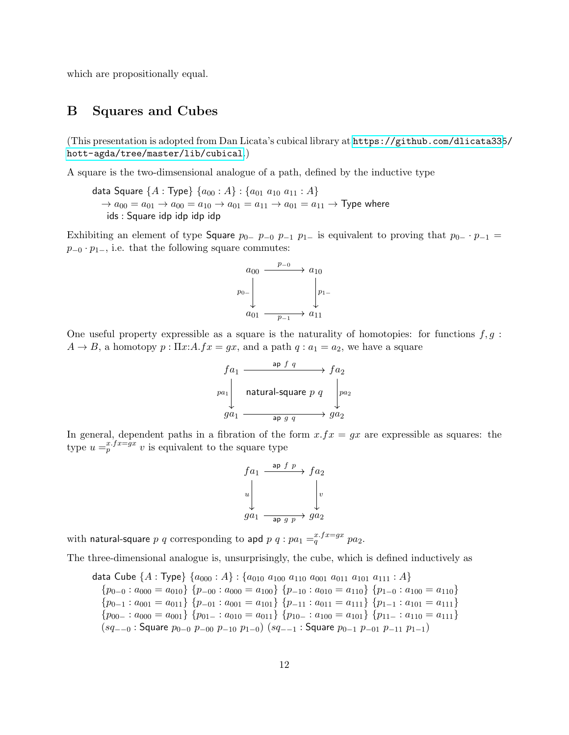which are propositionally equal.

## <span id="page-11-0"></span>B Squares and Cubes

(This presentation is adopted from Dan Licata's cubical library at [https://github.com/dlicata335](https://github.com/dlicata335/hott-agda/tree/master/lib/cubical)/ [hott-agda/tree/master/lib/cubical](https://github.com/dlicata335/hott-agda/tree/master/lib/cubical).)

A square is the two-dimsensional analogue of a path, defined by the inductive type

data Square  $\{A : \text{Type}\}\{a_{00} : A\} : \{a_{01} a_{10} a_{11} : A\}$  $\rightarrow a_{00} = a_{01} \rightarrow a_{00} = a_{10} \rightarrow a_{01} = a_{11} \rightarrow a_{01} = a_{11} \rightarrow$  Type where ids : Square idp idp idp idp

Exhibiting an element of type Square  $p_{0-}$   $p_{-0}$   $p_{-1}$  p<sub>1</sub> is equivalent to proving that  $p_{0-} \cdot p_{-1}$  =  $p_{-0} \cdot p_{1-}$ , i.e. that the following square commutes:

$$
\begin{array}{ccc}\n a_{00} & \xrightarrow{p_{-0}} & a_{10} \\
 & & \\
 & & \\
 a_{01} & \xrightarrow{p_{-1}} & a_{11}\n \end{array}
$$

One useful property expressible as a square is the naturality of homotopies: for functions  $f, g$ :  $A \rightarrow B$ , a homotopy  $p : \Pi x:A.fx = gx$ , and a path  $q : a_1 = a_2$ , we have a square

$$
f a_1 \xrightarrow{\text{ap } f q} f a_2
$$
\n
$$
p a_1 \downarrow \text{natural-square } p q \downarrow p a_2
$$
\n
$$
g a_1 \xrightarrow{\text{ap } g q} g a_2
$$

In general, dependent paths in a fibration of the form  $x.fx = gx$  are expressible as squares: the type  $u = p^{x \cdot fx = gx} v$  is equivalent to the square type

$$
f a_1 \xrightarrow{\text{ap } f p} f a_2
$$
  
\n
$$
u \downarrow \qquad \qquad v
$$
  
\n
$$
g a_1 \xrightarrow{\text{ap } g p} g a_2
$$

with natural-square  $p$   $q$  corresponding to apd  $p$   $q$  :  $pa_1 =_q^{x.fx = gx} pa_2.$ 

The three-dimensional analogue is, unsurprisingly, the cube, which is defined inductively as

data Cube  $\{A : \text{Type}\}\{a_{000} : A\} : \{a_{010} a_{100} a_{110} a_{001} a_{011} a_{101} a_{111} : A\}$  ${p_{0-0} : a_{000} = a_{010}}$  {p-00 : a<sub>000</sub> = a<sub>100</sub>} {p-10 : a<sub>010</sub> = a<sub>110</sub>} {p<sub>1-0</sub> : a<sub>100</sub> = a<sub>110</sub>}  ${p_{0-1} : a_{001} = a_{011}}$  {p\_01 : a<sub>001</sub> = a<sub>101</sub>} {p\_11 : a<sub>011</sub> = a<sub>111</sub>} {p<sub>1-1</sub> : a<sub>101</sub> = a<sub>111</sub>}  ${p_{00-} : a_{000} = a_{001}}$  {p<sub>01</sub>- : a<sub>010</sub> = a<sub>011</sub>} {p<sub>10</sub>- : a<sub>100</sub> = a<sub>101</sub>} {p<sub>11</sub>- : a<sub>110</sub> = a<sub>111</sub>}  $(sq_{-0}$ : Square  $p_{0-0}$   $p_{-00}$   $p_{-10}$   $p_{1-0}$ )  $(sq_{-1}$ : Square  $p_{0-1}$   $p_{-01}$   $p_{-11}$   $p_{1-1}$ )